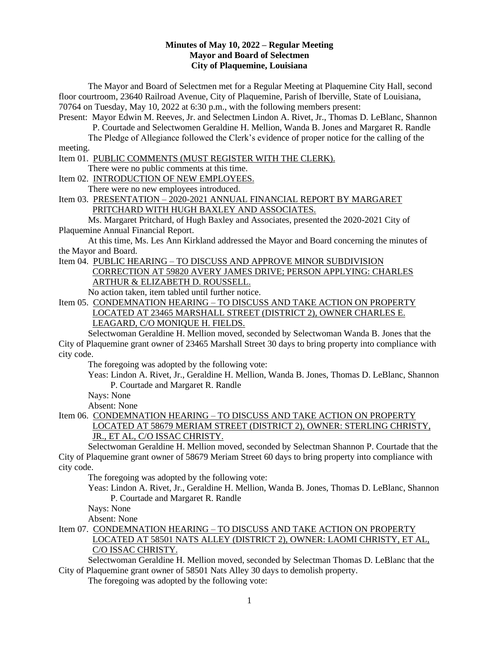### **Minutes of May 10, 2022 – Regular Meeting Mayor and Board of Selectmen City of Plaquemine, Louisiana**

The Mayor and Board of Selectmen met for a Regular Meeting at Plaquemine City Hall, second floor courtroom, 23640 Railroad Avenue, City of Plaquemine, Parish of Iberville, State of Louisiana, 70764 on Tuesday, May 10, 2022 at 6:30 p.m., with the following members present:

Present: Mayor Edwin M. Reeves, Jr. and Selectmen Lindon A. Rivet, Jr., Thomas D. LeBlanc, Shannon P. Courtade and Selectwomen Geraldine H. Mellion, Wanda B. Jones and Margaret R. Randle

The Pledge of Allegiance followed the Clerk's evidence of proper notice for the calling of the meeting.

Item 01. PUBLIC COMMENTS (MUST REGISTER WITH THE CLERK).

There were no public comments at this time.

Item 02. INTRODUCTION OF NEW EMPLOYEES.

There were no new employees introduced.

Item 03. PRESENTATION – 2020-2021 ANNUAL FINANCIAL REPORT BY MARGARET PRITCHARD WITH HUGH BAXLEY AND ASSOCIATES.

Ms. Margaret Pritchard, of Hugh Baxley and Associates, presented the 2020-2021 City of Plaquemine Annual Financial Report.

At this time, Ms. Les Ann Kirkland addressed the Mayor and Board concerning the minutes of the Mayor and Board.

#### Item 04. PUBLIC HEARING – TO DISCUSS AND APPROVE MINOR SUBDIVISION CORRECTION AT 59820 AVERY JAMES DRIVE; PERSON APPLYING: CHARLES ARTHUR & ELIZABETH D. ROUSSELL.

No action taken, item tabled until further notice.

Item 05. CONDEMNATION HEARING – TO DISCUSS AND TAKE ACTION ON PROPERTY LOCATED AT 23465 MARSHALL STREET (DISTRICT 2), OWNER CHARLES E.

LEAGARD, C/O MONIQUE H. FIELDS.

Selectwoman Geraldine H. Mellion moved, seconded by Selectwoman Wanda B. Jones that the City of Plaquemine grant owner of 23465 Marshall Street 30 days to bring property into compliance with city code.

The foregoing was adopted by the following vote:

Yeas: Lindon A. Rivet, Jr., Geraldine H. Mellion, Wanda B. Jones, Thomas D. LeBlanc, Shannon P. Courtade and Margaret R. Randle

Nays: None

Absent: None

#### Item 06. CONDEMNATION HEARING - TO DISCUSS AND TAKE ACTION ON PROPERTY LOCATED AT 58679 MERIAM STREET (DISTRICT 2), OWNER: STERLING CHRISTY, JR., ET AL, C/O ISSAC CHRISTY.

Selectwoman Geraldine H. Mellion moved, seconded by Selectman Shannon P. Courtade that the City of Plaquemine grant owner of 58679 Meriam Street 60 days to bring property into compliance with city code.

The foregoing was adopted by the following vote:

Yeas: Lindon A. Rivet, Jr., Geraldine H. Mellion, Wanda B. Jones, Thomas D. LeBlanc, Shannon P. Courtade and Margaret R. Randle

Nays: None

Absent: None

Item 07. CONDEMNATION HEARING – TO DISCUSS AND TAKE ACTION ON PROPERTY LOCATED AT 58501 NATS ALLEY (DISTRICT 2), OWNER: LAOMI CHRISTY, ET AL, C/O ISSAC CHRISTY.

Selectwoman Geraldine H. Mellion moved, seconded by Selectman Thomas D. LeBlanc that the City of Plaquemine grant owner of 58501 Nats Alley 30 days to demolish property.

The foregoing was adopted by the following vote: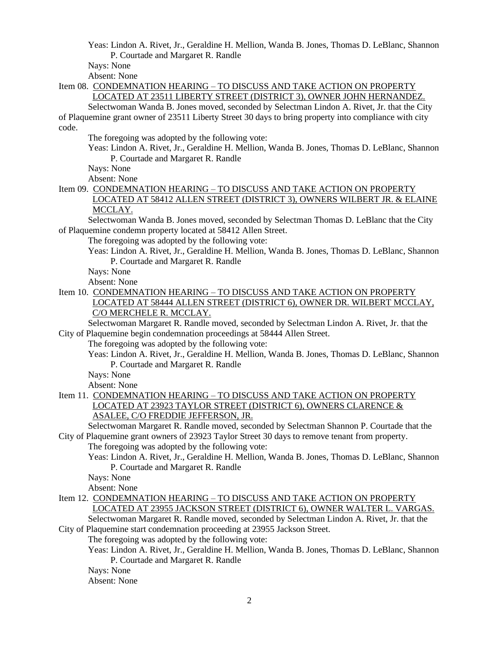Yeas: Lindon A. Rivet, Jr., Geraldine H. Mellion, Wanda B. Jones, Thomas D. LeBlanc, Shannon P. Courtade and Margaret R. Randle

Nays: None

Absent: None

Item 08. CONDEMNATION HEARING – TO DISCUSS AND TAKE ACTION ON PROPERTY LOCATED AT 23511 LIBERTY STREET (DISTRICT 3), OWNER JOHN HERNANDEZ.

Selectwoman Wanda B. Jones moved, seconded by Selectman Lindon A. Rivet, Jr. that the City of Plaquemine grant owner of 23511 Liberty Street 30 days to bring property into compliance with city code.

The foregoing was adopted by the following vote:

Yeas: Lindon A. Rivet, Jr., Geraldine H. Mellion, Wanda B. Jones, Thomas D. LeBlanc, Shannon P. Courtade and Margaret R. Randle

Nays: None

Absent: None

Item 09. CONDEMNATION HEARING - TO DISCUSS AND TAKE ACTION ON PROPERTY LOCATED AT 58412 ALLEN STREET (DISTRICT 3), OWNERS WILBERT JR. & ELAINE MCCLAY.

Selectwoman Wanda B. Jones moved, seconded by Selectman Thomas D. LeBlanc that the City of Plaquemine condemn property located at 58412 Allen Street.

The foregoing was adopted by the following vote:

Yeas: Lindon A. Rivet, Jr., Geraldine H. Mellion, Wanda B. Jones, Thomas D. LeBlanc, Shannon P. Courtade and Margaret R. Randle

Nays: None

Absent: None

Item 10. CONDEMNATION HEARING – TO DISCUSS AND TAKE ACTION ON PROPERTY LOCATED AT 58444 ALLEN STREET (DISTRICT 6), OWNER DR. WILBERT MCCLAY, C/O MERCHELE R. MCCLAY.

Selectwoman Margaret R. Randle moved, seconded by Selectman Lindon A. Rivet, Jr. that the City of Plaquemine begin condemnation proceedings at 58444 Allen Street.

The foregoing was adopted by the following vote:

Yeas: Lindon A. Rivet, Jr., Geraldine H. Mellion, Wanda B. Jones, Thomas D. LeBlanc, Shannon P. Courtade and Margaret R. Randle

Nays: None

Absent: None

Item 11. CONDEMNATION HEARING – TO DISCUSS AND TAKE ACTION ON PROPERTY LOCATED AT 23923 TAYLOR STREET (DISTRICT 6), OWNERS CLARENCE & ASALEE, C/O FREDDIE JEFFERSON, JR.

Selectwoman Margaret R. Randle moved, seconded by Selectman Shannon P. Courtade that the City of Plaquemine grant owners of 23923 Taylor Street 30 days to remove tenant from property.

The foregoing was adopted by the following vote:

- Yeas: Lindon A. Rivet, Jr., Geraldine H. Mellion, Wanda B. Jones, Thomas D. LeBlanc, Shannon P. Courtade and Margaret R. Randle
- Nays: None

Absent: None

- Item 12. CONDEMNATION HEARING TO DISCUSS AND TAKE ACTION ON PROPERTY LOCATED AT 23955 JACKSON STREET (DISTRICT 6), OWNER WALTER L. VARGAS. Selectwoman Margaret R. Randle moved, seconded by Selectman Lindon A. Rivet, Jr. that the
- City of Plaquemine start condemnation proceeding at 23955 Jackson Street.

The foregoing was adopted by the following vote:

Yeas: Lindon A. Rivet, Jr., Geraldine H. Mellion, Wanda B. Jones, Thomas D. LeBlanc, Shannon P. Courtade and Margaret R. Randle

Nays: None

Absent: None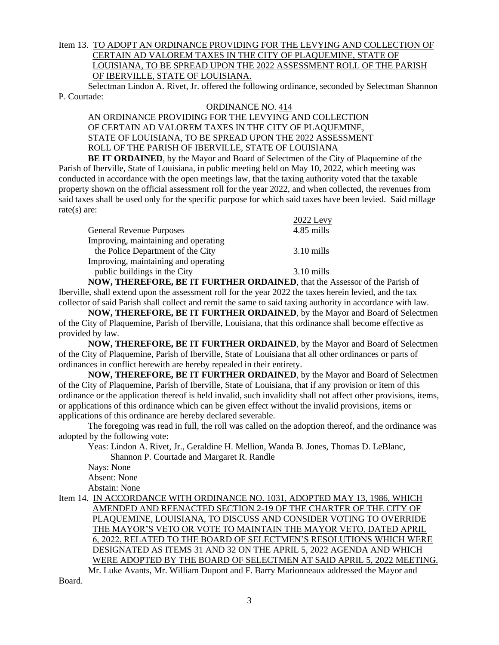# Item 13. TO ADOPT AN ORDINANCE PROVIDING FOR THE LEVYING AND COLLECTION OF CERTAIN AD VALOREM TAXES IN THE CITY OF PLAQUEMINE, STATE OF LOUISIANA, TO BE SPREAD UPON THE 2022 ASSESSMENT ROLL OF THE PARISH OF IBERVILLE, STATE OF LOUISIANA.

Selectman Lindon A. Rivet, Jr. offered the following ordinance, seconded by Selectman Shannon P. Courtade:

## ORDINANCE NO. 414

AN ORDINANCE PROVIDING FOR THE LEVYING AND COLLECTION OF CERTAIN AD VALOREM TAXES IN THE CITY OF PLAQUEMINE, STATE OF LOUISIANA, TO BE SPREAD UPON THE 2022 ASSESSMENT ROLL OF THE PARISH OF IBERVILLE, STATE OF LOUISIANA

**BE IT ORDAINED**, by the Mayor and Board of Selectmen of the City of Plaquemine of the Parish of Iberville, State of Louisiana, in public meeting held on May 10, 2022, which meeting was conducted in accordance with the open meetings law, that the taxing authority voted that the taxable property shown on the official assessment roll for the year 2022, and when collected, the revenues from said taxes shall be used only for the specific purpose for which said taxes have been levied. Said millage rate(s) are:

|                                      | $2022$ Levy          |
|--------------------------------------|----------------------|
| <b>General Revenue Purposes</b>      | 4.85 mills           |
| Improving, maintaining and operating |                      |
| the Police Department of the City    | $3.10 \text{ mills}$ |
| Improving, maintaining and operating |                      |
| public buildings in the City         | $3.10 \text{ mills}$ |

**NOW, THEREFORE, BE IT FURTHER ORDAINED**, that the Assessor of the Parish of Iberville, shall extend upon the assessment roll for the year 2022 the taxes herein levied, and the tax collector of said Parish shall collect and remit the same to said taxing authority in accordance with law.

**NOW, THEREFORE, BE IT FURTHER ORDAINED**, by the Mayor and Board of Selectmen of the City of Plaquemine, Parish of Iberville, Louisiana, that this ordinance shall become effective as provided by law.

**NOW, THEREFORE, BE IT FURTHER ORDAINED**, by the Mayor and Board of Selectmen of the City of Plaquemine, Parish of Iberville, State of Louisiana that all other ordinances or parts of ordinances in conflict herewith are hereby repealed in their entirety.

**NOW, THEREFORE, BE IT FURTHER ORDAINED**, by the Mayor and Board of Selectmen of the City of Plaquemine, Parish of Iberville, State of Louisiana, that if any provision or item of this ordinance or the application thereof is held invalid, such invalidity shall not affect other provisions, items, or applications of this ordinance which can be given effect without the invalid provisions, items or applications of this ordinance are hereby declared severable.

The foregoing was read in full, the roll was called on the adoption thereof, and the ordinance was adopted by the following vote:

Yeas: Lindon A. Rivet, Jr., Geraldine H. Mellion, Wanda B. Jones, Thomas D. LeBlanc, Shannon P. Courtade and Margaret R. Randle

Nays: None Absent: None

Abstain: None

Item 14. IN ACCORDANCE WITH ORDINANCE NO. 1031, ADOPTED MAY 13, 1986, WHICH AMENDED AND REENACTED SECTION 2-19 OF THE CHARTER OF THE CITY OF PLAQUEMINE, LOUISIANA, TO DISCUSS AND CONSIDER VOTING TO OVERRIDE THE MAYOR'S VETO OR VOTE TO MAINTAIN THE MAYOR VETO, DATED APRIL 6, 2022, RELATED TO THE BOARD OF SELECTMEN'S RESOLUTIONS WHICH WERE DESIGNATED AS ITEMS 31 AND 32 ON THE APRIL 5, 2022 AGENDA AND WHICH WERE ADOPTED BY THE BOARD OF SELECTMEN AT SAID APRIL 5, 2022 MEETING. Mr. Luke Avants, Mr. William Dupont and F. Barry Marionneaux addressed the Mayor and

Board.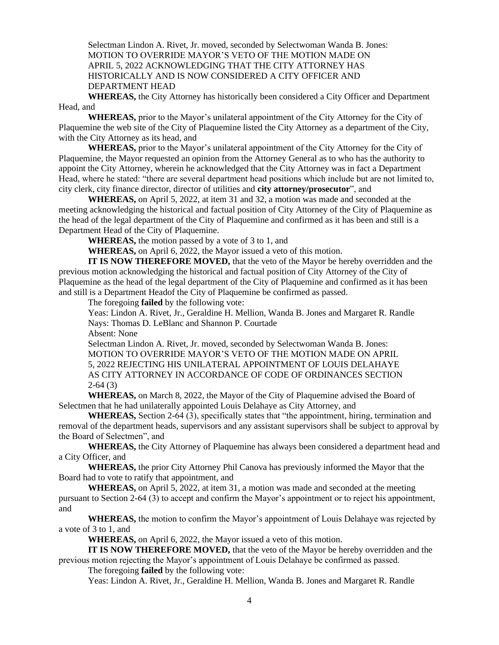Selectman Lindon A. Rivet, Jr. moved, seconded by Selectwoman Wanda B. Jones: MOTION TO OVERRIDE MAYOR'S VETO OF THE MOTION MADE ON APRIL 5, 2022 ACKNOWLEDGING THAT THE CITY ATTORNEY HAS HISTORICALLY AND IS NOW CONSIDERED A CITY OFFICER AND DEPARTMENT HEAD

**WHEREAS,** the City Attorney has historically been considered a City Officer and Department Head, and

**WHEREAS,** prior to the Mayor's unilateral appointment of the City Attorney for the City of Plaquemine the web site of the City of Plaquemine listed the City Attorney as a department of the City, with the City Attorney as its head, and

**WHEREAS,** prior to the Mayor's unilateral appointment of the City Attorney for the City of Plaquemine, the Mayor requested an opinion from the Attorney General as to who has the authority to appoint the City Attorney, wherein he acknowledged that the City Attorney was in fact a Department Head, where he stated: "there are several department head positions which include but are not limited to, city clerk, city finance director, director of utilities and **city attorney/prosecutor**", and

**WHEREAS,** on April 5, 2022, at item 31 and 32, a motion was made and seconded at the meeting acknowledging the historical and factual position of City Attorney of the City of Plaquemine as the head of the legal department of the City of Plaquemine and confirmed as it has been and still is a Department Head of the City of Plaquemine.

**WHEREAS,** the motion passed by a vote of 3 to 1, and

**WHEREAS,** on April 6, 2022, the Mayor issued a veto of this motion.

**IT IS NOW THEREFORE MOVED,** that the veto of the Mayor be hereby overridden and the previous motion acknowledging the historical and factual position of City Attorney of the City of Plaquemine as the head of the legal department of the City of Plaquemine and confirmed as it has been and still is a Department Headof the City of Plaquemine be confirmed as passed.

The foregoing **failed** by the following vote:

Yeas: Lindon A. Rivet, Jr., Geraldine H. Mellion, Wanda B. Jones and Margaret R. Randle Nays: Thomas D. LeBlanc and Shannon P. Courtade

Absent: None

Selectman Lindon A. Rivet, Jr. moved, seconded by Selectwoman Wanda B. Jones: MOTION TO OVERRIDE MAYOR'S VETO OF THE MOTION MADE ON APRIL 5, 2022 REJECTING HIS UNILATERAL APPOINTMENT OF LOUIS DELAHAYE AS CITY ATTORNEY IN ACCORDANCE OF CODE OF ORDINANCES SECTION 2-64 (3)

**WHEREAS,** on March 8, 2022, the Mayor of the City of Plaquemine advised the Board of Selectmen that he had unilaterally appointed Louis Delahaye as City Attorney, and

**WHEREAS,** Section 2-64 (3), specifically states that "the appointment, hiring, termination and removal of the department heads, supervisors and any assistant supervisors shall be subject to approval by the Board of Selectmen", and

**WHEREAS,** the City Attorney of Plaquemine has always been considered a department head and a City Officer, and

**WHEREAS,** the prior City Attorney Phil Canova has previously informed the Mayor that the Board had to vote to ratify that appointment, and

**WHEREAS,** on April 5, 2022, at item 31, a motion was made and seconded at the meeting pursuant to Section 2-64 (3) to accept and confirm the Mayor's appointment or to reject his appointment, and

**WHEREAS,** the motion to confirm the Mayor's appointment of Louis Delahaye was rejected by a vote of 3 to 1, and

**WHEREAS,** on April 6, 2022, the Mayor issued a veto of this motion.

**IT IS NOW THEREFORE MOVED,** that the veto of the Mayor be hereby overridden and the previous motion rejecting the Mayor's appointment of Louis Delahaye be confirmed as passed.

The foregoing **failed** by the following vote:

Yeas: Lindon A. Rivet, Jr., Geraldine H. Mellion, Wanda B. Jones and Margaret R. Randle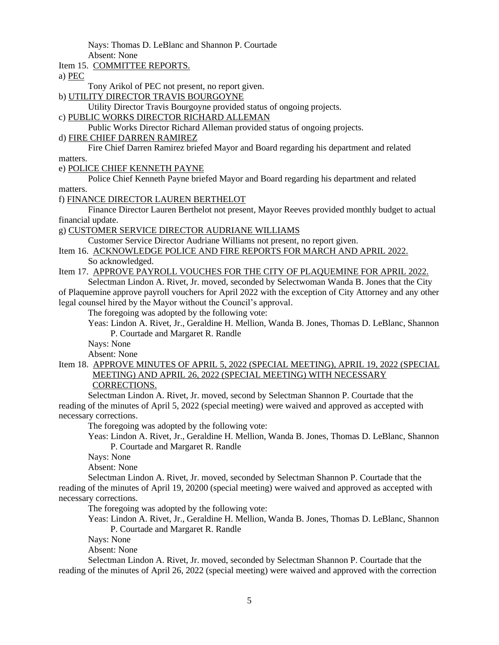Nays: Thomas D. LeBlanc and Shannon P. Courtade

Absent: None

Item 15. COMMITTEE REPORTS.

a) PEC

Tony Arikol of PEC not present, no report given.

b) UTILITY DIRECTOR TRAVIS BOURGOYNE

Utility Director Travis Bourgoyne provided status of ongoing projects.

c) PUBLIC WORKS DIRECTOR RICHARD ALLEMAN

Public Works Director Richard Alleman provided status of ongoing projects.

d) FIRE CHIEF DARREN RAMIREZ

Fire Chief Darren Ramirez briefed Mayor and Board regarding his department and related matters.

e) POLICE CHIEF KENNETH PAYNE

Police Chief Kenneth Payne briefed Mayor and Board regarding his department and related matters.

f) FINANCE DIRECTOR LAUREN BERTHELOT

Finance Director Lauren Berthelot not present, Mayor Reeves provided monthly budget to actual financial update.

g) CUSTOMER SERVICE DIRECTOR AUDRIANE WILLIAMS

Customer Service Director Audriane Williams not present, no report given.

Item 16. ACKNOWLEDGE POLICE AND FIRE REPORTS FOR MARCH AND APRIL 2022. So acknowledged.

Item 17. APPROVE PAYROLL VOUCHES FOR THE CITY OF PLAQUEMINE FOR APRIL 2022.

Selectman Lindon A. Rivet, Jr. moved, seconded by Selectwoman Wanda B. Jones that the City of Plaquemine approve payroll vouchers for April 2022 with the exception of City Attorney and any other legal counsel hired by the Mayor without the Council's approval.

The foregoing was adopted by the following vote:

Yeas: Lindon A. Rivet, Jr., Geraldine H. Mellion, Wanda B. Jones, Thomas D. LeBlanc, Shannon P. Courtade and Margaret R. Randle

Nays: None

Absent: None

Item 18. APPROVE MINUTES OF APRIL 5, 2022 (SPECIAL MEETING), APRIL 19, 2022 (SPECIAL MEETING) AND APRIL 26, 2022 (SPECIAL MEETING) WITH NECESSARY CORRECTIONS.

Selectman Lindon A. Rivet, Jr. moved, second by Selectman Shannon P. Courtade that the reading of the minutes of April 5, 2022 (special meeting) were waived and approved as accepted with necessary corrections.

The foregoing was adopted by the following vote:

Yeas: Lindon A. Rivet, Jr., Geraldine H. Mellion, Wanda B. Jones, Thomas D. LeBlanc, Shannon P. Courtade and Margaret R. Randle

Nays: None

Absent: None

Selectman Lindon A. Rivet, Jr. moved, seconded by Selectman Shannon P. Courtade that the reading of the minutes of April 19, 20200 (special meeting) were waived and approved as accepted with necessary corrections.

The foregoing was adopted by the following vote:

Yeas: Lindon A. Rivet, Jr., Geraldine H. Mellion, Wanda B. Jones, Thomas D. LeBlanc, Shannon P. Courtade and Margaret R. Randle

Nays: None

Absent: None

Selectman Lindon A. Rivet, Jr. moved, seconded by Selectman Shannon P. Courtade that the reading of the minutes of April 26, 2022 (special meeting) were waived and approved with the correction